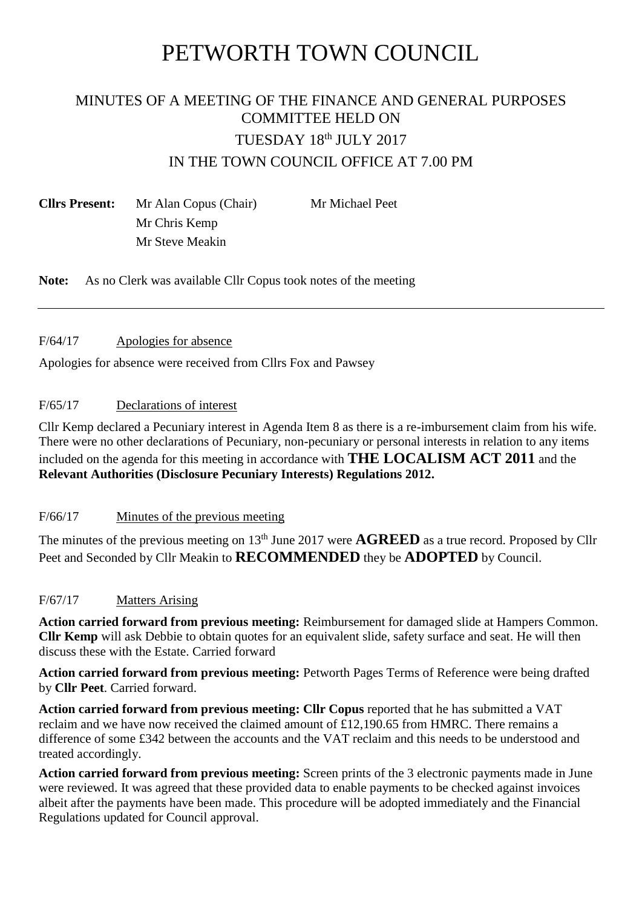# PETWORTH TOWN COUNCIL

# MINUTES OF A MEETING OF THE FINANCE AND GENERAL PURPOSES COMMITTEE HELD ON TUESDAY 18th JULY 2017 IN THE TOWN COUNCIL OFFICE AT 7.00 PM

**Cllrs Present:** Mr Alan Copus (Chair) Mr Michael Peet Mr Chris Kemp Mr Steve Meakin

**Note:** As no Clerk was available Cllr Copus took notes of the meeting

# F/64/17 Apologies for absence

Apologies for absence were received from Cllrs Fox and Pawsey

# F/65/17 Declarations of interest

Cllr Kemp declared a Pecuniary interest in Agenda Item 8 as there is a re-imbursement claim from his wife. There were no other declarations of Pecuniary, non-pecuniary or personal interests in relation to any items included on the agenda for this meeting in accordance with **THE LOCALISM ACT 2011** and the **Relevant Authorities (Disclosure Pecuniary Interests) Regulations 2012.**

# F/66/17 Minutes of the previous meeting

The minutes of the previous meeting on  $13<sup>th</sup>$  June 2017 were  $\bf{AGREED}$  as a true record. Proposed by Cllr Peet and Seconded by Cllr Meakin to **RECOMMENDED** they be **ADOPTED** by Council.

# F/67/17 Matters Arising

**Action carried forward from previous meeting:** Reimbursement for damaged slide at Hampers Common. **Cllr Kemp** will ask Debbie to obtain quotes for an equivalent slide, safety surface and seat. He will then discuss these with the Estate. Carried forward

**Action carried forward from previous meeting:** Petworth Pages Terms of Reference were being drafted by **Cllr Peet**. Carried forward.

Action carried forward from previous meeting: Cllr Copus reported that he has submitted a VAT reclaim and we have now received the claimed amount of £12,190.65 from HMRC. There remains a difference of some £342 between the accounts and the VAT reclaim and this needs to be understood and treated accordingly.

**Action carried forward from previous meeting:** Screen prints of the 3 electronic payments made in June were reviewed. It was agreed that these provided data to enable payments to be checked against invoices albeit after the payments have been made. This procedure will be adopted immediately and the Financial Regulations updated for Council approval.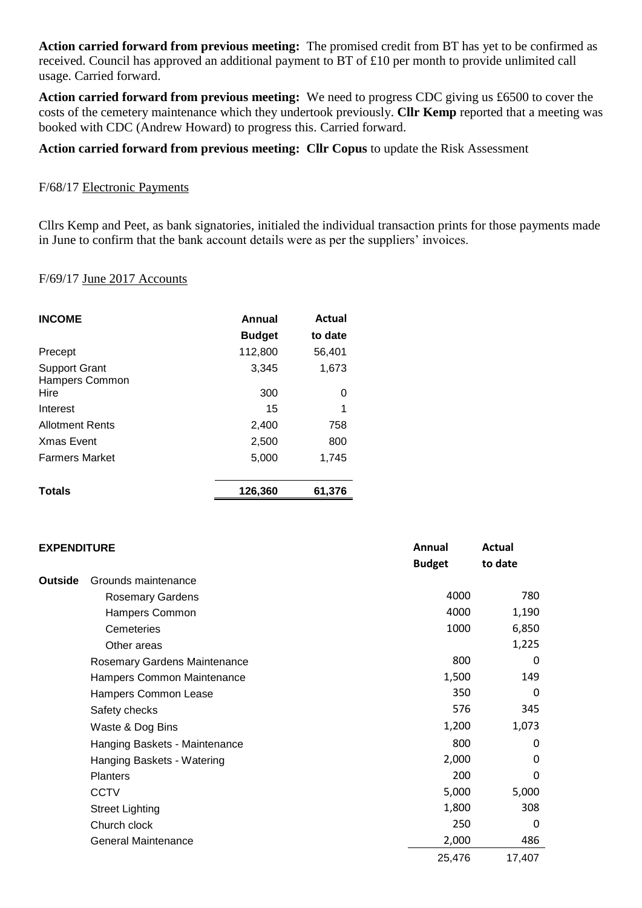**Action carried forward from previous meeting:** The promised credit from BT has yet to be confirmed as received. Council has approved an additional payment to BT of £10 per month to provide unlimited call usage. Carried forward.

**Action carried forward from previous meeting:** We need to progress CDC giving us £6500 to cover the costs of the cemetery maintenance which they undertook previously. **Cllr Kemp** reported that a meeting was booked with CDC (Andrew Howard) to progress this. Carried forward.

# **Action carried forward from previous meeting: Cllr Copus** to update the Risk Assessment

#### F/68/17 Electronic Payments

Cllrs Kemp and Peet, as bank signatories, initialed the individual transaction prints for those payments made in June to confirm that the bank account details were as per the suppliers' invoices.

#### F/69/17 June 2017 Accounts

| <b>INCOME</b>                          | Annual<br><b>Budget</b> | <b>Actual</b><br>to date |
|----------------------------------------|-------------------------|--------------------------|
| Precept                                | 112,800                 | 56,401                   |
| <b>Support Grant</b><br>Hampers Common | 3,345                   | 1,673                    |
| Hire                                   | 300                     | 0                        |
| Interest                               | 15                      | 1                        |
| <b>Allotment Rents</b>                 | 2,400                   | 758                      |
| <b>Xmas Event</b>                      | 2,500                   | 800                      |
| <b>Farmers Market</b>                  | 5,000                   | 1,745                    |
| <b>Totals</b>                          | 126,360                 | 61,376                   |

| <b>EXPENDITURE</b> |                               | Annual        | Actual   |
|--------------------|-------------------------------|---------------|----------|
|                    |                               | <b>Budget</b> | to date  |
| Outside            | Grounds maintenance           |               |          |
|                    | <b>Rosemary Gardens</b>       | 4000          | 780      |
|                    | Hampers Common                | 4000          | 1,190    |
|                    | Cemeteries                    | 1000          | 6,850    |
|                    | Other areas                   |               | 1,225    |
|                    | Rosemary Gardens Maintenance  | 800           | $\Omega$ |
|                    | Hampers Common Maintenance    | 1,500         | 149      |
|                    | Hampers Common Lease          | 350           | $\Omega$ |
|                    | Safety checks                 | 576           | 345      |
|                    | Waste & Dog Bins              | 1,200         | 1,073    |
|                    | Hanging Baskets - Maintenance | 800           | 0        |
|                    | Hanging Baskets - Watering    | 2,000         | 0        |
|                    | <b>Planters</b>               | 200           | $\Omega$ |
|                    | <b>CCTV</b>                   | 5,000         | 5,000    |
|                    | <b>Street Lighting</b>        | 1,800         | 308      |
|                    | Church clock                  | 250           | $\Omega$ |
|                    | <b>General Maintenance</b>    | 2,000         | 486      |
|                    |                               | 25,476        | 17,407   |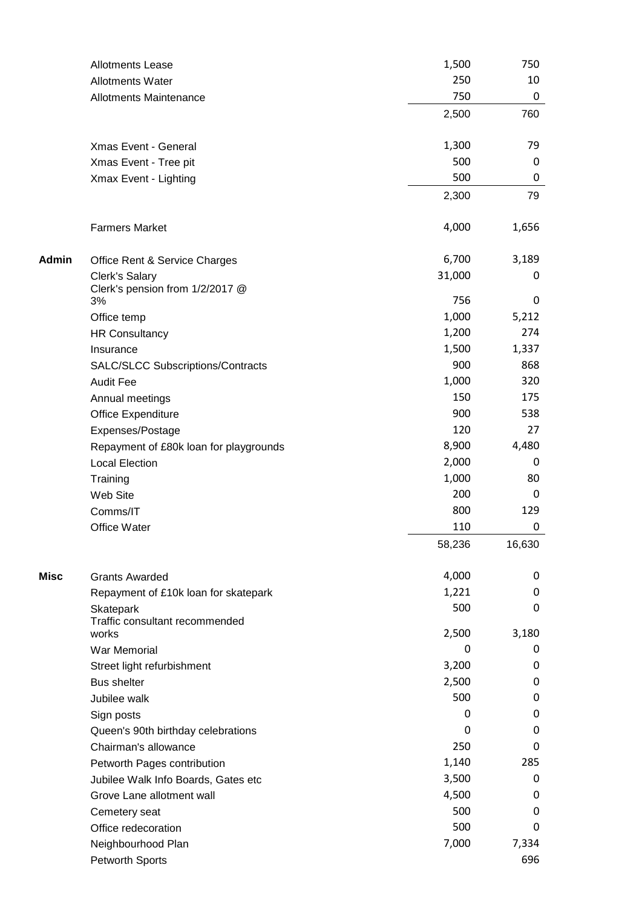|       | <b>Allotments Lease</b>                          | 1,500         | 750              |
|-------|--------------------------------------------------|---------------|------------------|
|       | <b>Allotments Water</b>                          | 250           | 10               |
|       | <b>Allotments Maintenance</b>                    | 750           | $\boldsymbol{0}$ |
|       |                                                  | 2,500         | 760              |
|       | Xmas Event - General                             | 1,300         | 79               |
|       | Xmas Event - Tree pit                            | 500           | 0                |
|       | Xmax Event - Lighting                            | 500           | 0                |
|       |                                                  | 2,300         | 79               |
|       | <b>Farmers Market</b>                            | 4,000         | 1,656            |
| Admin | Office Rent & Service Charges                    | 6,700         | 3,189            |
|       | <b>Clerk's Salary</b>                            | 31,000        | 0                |
|       | Clerk's pension from 1/2/2017 @<br>3%            | 756           | $\pmb{0}$        |
|       |                                                  | 1,000         | 5,212            |
|       | Office temp                                      | 1,200         | 274              |
|       | <b>HR Consultancy</b>                            | 1,500         | 1,337            |
|       | Insurance                                        | 900           | 868              |
|       | <b>SALC/SLCC Subscriptions/Contracts</b>         |               |                  |
|       | <b>Audit Fee</b>                                 | 1,000         | 320              |
|       | Annual meetings                                  | 150           | 175              |
|       | <b>Office Expenditure</b>                        | 900           | 538              |
|       | Expenses/Postage                                 | 120           | 27               |
|       | Repayment of £80k loan for playgrounds           | 8,900         | 4,480            |
|       | <b>Local Election</b>                            | 2,000         | 0                |
|       | Training                                         | 1,000         | 80               |
|       | Web Site                                         | 200           | $\pmb{0}$        |
|       | Comms/IT                                         | 800           | 129              |
|       | Office Water                                     | 110<br>58,236 | 0<br>16,630      |
|       |                                                  |               |                  |
| Misc  | <b>Grants Awarded</b>                            | 4,000         | 0                |
|       | Repayment of £10k loan for skatepark             | 1,221         | 0                |
|       | Skatepark                                        | 500           | 0                |
|       | Traffic consultant recommended<br>works          | 2,500         | 3,180            |
|       | War Memorial                                     | 0             | 0                |
|       |                                                  | 3,200         | 0                |
|       | Street light refurbishment<br><b>Bus shelter</b> | 2,500         | 0                |
|       |                                                  | 500           | 0                |
|       | Jubilee walk                                     | 0             | 0                |
|       | Sign posts                                       | 0             | 0                |
|       | Queen's 90th birthday celebrations               | 250           | 0                |
|       | Chairman's allowance                             |               | 285              |
|       | Petworth Pages contribution                      | 1,140         |                  |
|       | Jubilee Walk Info Boards, Gates etc              | 3,500         | 0                |
|       | Grove Lane allotment wall                        | 4,500         | 0                |
|       | Cemetery seat                                    | 500           | 0                |
|       | Office redecoration                              | 500           | 0                |
|       | Neighbourhood Plan                               | 7,000         | 7,334            |
|       | <b>Petworth Sports</b>                           |               | 696              |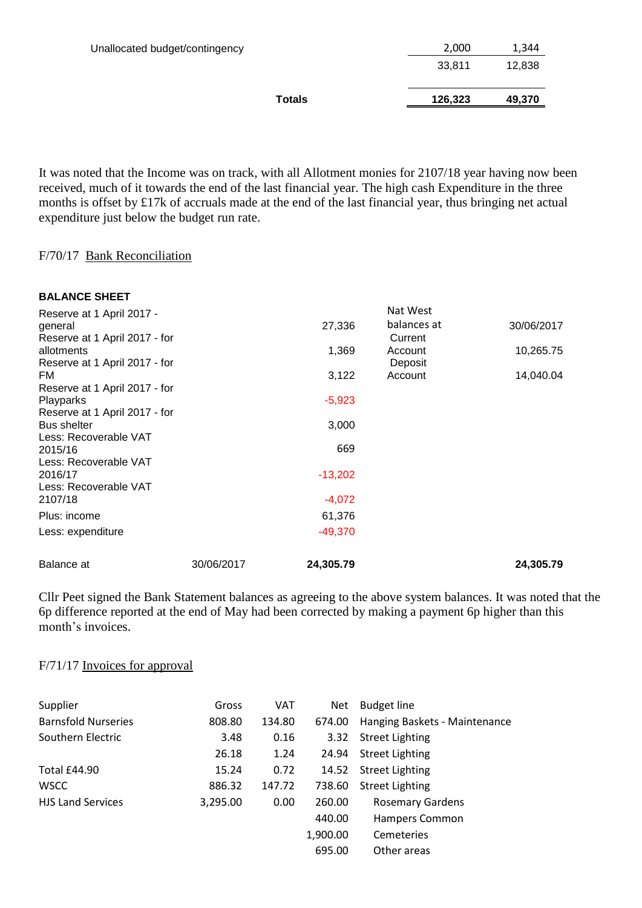| Unallocated budget/contingency | 2,000   | 1,344  |
|--------------------------------|---------|--------|
|                                | 33,811  | 12,838 |
| Totals                         | 126,323 | 49,370 |

It was noted that the Income was on track, with all Allotment monies for 2107/18 year having now been received, much of it towards the end of the last financial year. The high cash Expenditure in the three months is offset by £17k of accruals made at the end of the last financial year, thus bringing net actual expenditure just below the budget run rate.

#### F/70/17 Bank Reconciliation

| <b>BALANCE SHEET</b>             |            |           |             |            |
|----------------------------------|------------|-----------|-------------|------------|
| Reserve at 1 April 2017 -        |            |           | Nat West    |            |
| general                          |            | 27,336    | balances at | 30/06/2017 |
| Reserve at 1 April 2017 - for    |            |           | Current     |            |
| allotments                       |            | 1,369     | Account     | 10,265.75  |
| Reserve at 1 April 2017 - for    |            |           | Deposit     |            |
| FM.                              |            | 3,122     | Account     | 14,040.04  |
| Reserve at 1 April 2017 - for    |            |           |             |            |
| Playparks                        |            | $-5,923$  |             |            |
| Reserve at 1 April 2017 - for    |            |           |             |            |
| <b>Bus shelter</b>               |            | 3,000     |             |            |
| Less: Recoverable VAT            |            |           |             |            |
| 2015/16                          |            | 669       |             |            |
| Less: Recoverable VAT            |            |           |             |            |
| 2016/17                          |            | $-13,202$ |             |            |
| Less: Recoverable VAT<br>2107/18 |            | $-4,072$  |             |            |
|                                  |            |           |             |            |
| Plus: income                     |            | 61,376    |             |            |
| Less: expenditure                |            | $-49,370$ |             |            |
| Balance at                       | 30/06/2017 | 24,305.79 |             | 24,305.79  |

Cllr Peet signed the Bank Statement balances as agreeing to the above system balances. It was noted that the 6p difference reported at the end of May had been corrected by making a payment 6p higher than this month's invoices.

#### F/71/17 Invoices for approval

| Supplier                   | Gross    | <b>VAT</b> | Net      | <b>Budget line</b>            |
|----------------------------|----------|------------|----------|-------------------------------|
| <b>Barnsfold Nurseries</b> | 808.80   | 134.80     | 674.00   | Hanging Baskets - Maintenance |
| Southern Electric          | 3.48     | 0.16       | 3.32     | <b>Street Lighting</b>        |
|                            | 26.18    | 1.24       | 24.94    | <b>Street Lighting</b>        |
| Total £44.90               | 15.24    | 0.72       | 14.52    | <b>Street Lighting</b>        |
| <b>WSCC</b>                | 886.32   | 147.72     | 738.60   | <b>Street Lighting</b>        |
| <b>HJS Land Services</b>   | 3,295.00 | 0.00       | 260.00   | <b>Rosemary Gardens</b>       |
|                            |          |            | 440.00   | Hampers Common                |
|                            |          |            | 1,900.00 | <b>Cemeteries</b>             |
|                            |          |            | 695.00   | Other areas                   |